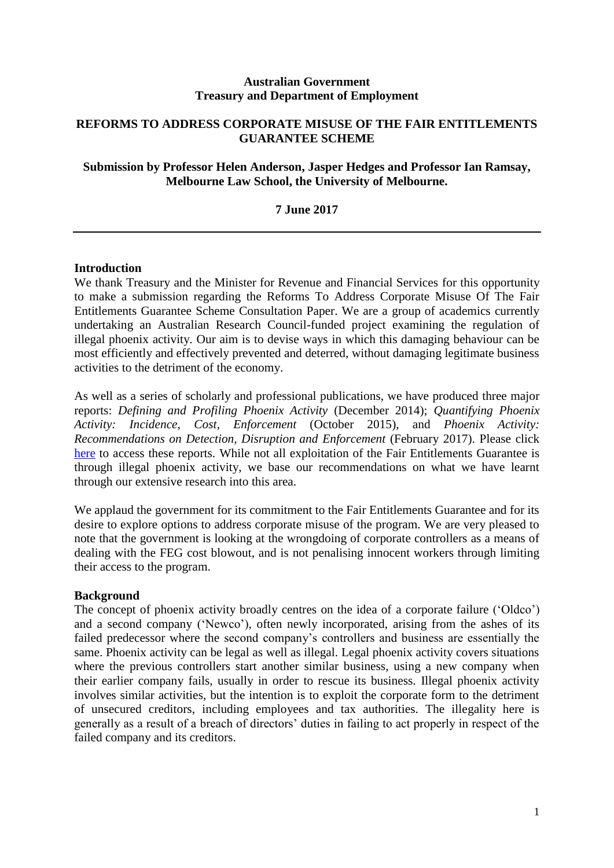#### **Australian Government Treasury and Department of Employment**

# **REFORMS TO ADDRESS CORPORATE MISUSE OF THE FAIR ENTITLEMENTS GUARANTEE SCHEME**

# **Submission by Professor Helen Anderson, Jasper Hedges and Professor Ian Ramsay, Melbourne Law School, the University of Melbourne.**

# **7 June 2017**

#### **Introduction**

We thank Treasury and the Minister for Revenue and Financial Services for this opportunity to make a submission regarding the Reforms To Address Corporate Misuse Of The Fair Entitlements Guarantee Scheme Consultation Paper. We are a group of academics currently undertaking an Australian Research Council-funded project examining the regulation of illegal phoenix activity. Our aim is to devise ways in which this damaging behaviour can be most efficiently and effectively prevented and deterred, without damaging legitimate business activities to the detriment of the economy.

As well as a series of scholarly and professional publications, we have produced three major reports: *Defining and Profiling Phoenix Activity* (December 2014); *Quantifying Phoenix Activity: Incidence, Cost, Enforcement* (October 2015), and *Phoenix Activity: Recommendations on Detection, Disruption and Enforcement* (February 2017). Please click [here](http://law.unimelb.edu.au/centres/cclsr/research/major-research-projects/regulating-fraudulent-phoenix-activity) to access these reports. While not all exploitation of the Fair Entitlements Guarantee is through illegal phoenix activity, we base our recommendations on what we have learnt through our extensive research into this area.

We applaud the government for its commitment to the Fair Entitlements Guarantee and for its desire to explore options to address corporate misuse of the program. We are very pleased to note that the government is looking at the wrongdoing of corporate controllers as a means of dealing with the FEG cost blowout, and is not penalising innocent workers through limiting their access to the program.

#### **Background**

The concept of phoenix activity broadly centres on the idea of a corporate failure ('Oldco') and a second company ('Newco'), often newly incorporated, arising from the ashes of its failed predecessor where the second company's controllers and business are essentially the same. Phoenix activity can be legal as well as illegal. Legal phoenix activity covers situations where the previous controllers start another similar business, using a new company when their earlier company fails, usually in order to rescue its business. Illegal phoenix activity involves similar activities, but the intention is to exploit the corporate form to the detriment of unsecured creditors, including employees and tax authorities. The illegality here is generally as a result of a breach of directors' duties in failing to act properly in respect of the failed company and its creditors.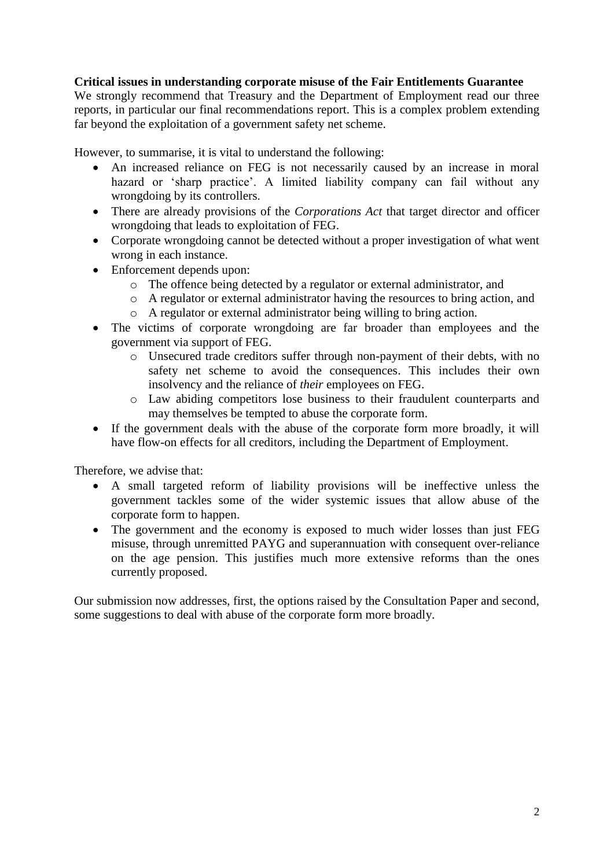## **Critical issues in understanding corporate misuse of the Fair Entitlements Guarantee**

We strongly recommend that Treasury and the Department of Employment read our three reports, in particular our final recommendations report. This is a complex problem extending far beyond the exploitation of a government safety net scheme.

However, to summarise, it is vital to understand the following:

- An increased reliance on FEG is not necessarily caused by an increase in moral hazard or 'sharp practice'. A limited liability company can fail without any wrongdoing by its controllers.
- There are already provisions of the *Corporations Act* that target director and officer wrongdoing that leads to exploitation of FEG.
- Corporate wrongdoing cannot be detected without a proper investigation of what went wrong in each instance.
- Enforcement depends upon:
	- o The offence being detected by a regulator or external administrator, and
	- o A regulator or external administrator having the resources to bring action, and
	- o A regulator or external administrator being willing to bring action.
- The victims of corporate wrongdoing are far broader than employees and the government via support of FEG.
	- o Unsecured trade creditors suffer through non-payment of their debts, with no safety net scheme to avoid the consequences. This includes their own insolvency and the reliance of *their* employees on FEG.
	- o Law abiding competitors lose business to their fraudulent counterparts and may themselves be tempted to abuse the corporate form.
- If the government deals with the abuse of the corporate form more broadly, it will have flow-on effects for all creditors, including the Department of Employment.

Therefore, we advise that:

- A small targeted reform of liability provisions will be ineffective unless the government tackles some of the wider systemic issues that allow abuse of the corporate form to happen.
- The government and the economy is exposed to much wider losses than just FEG misuse, through unremitted PAYG and superannuation with consequent over-reliance on the age pension. This justifies much more extensive reforms than the ones currently proposed.

Our submission now addresses, first, the options raised by the Consultation Paper and second, some suggestions to deal with abuse of the corporate form more broadly.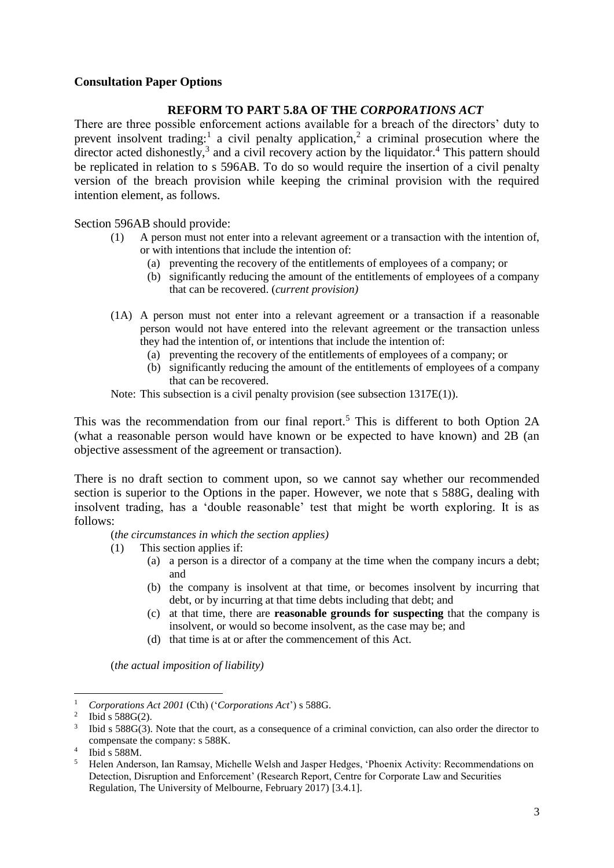### **Consultation Paper Options**

#### **REFORM TO PART 5.8A OF THE** *CORPORATIONS ACT*

There are three possible enforcement actions available for a breach of the directors' duty to prevent insolvent trading:<sup>1</sup> a civil penalty application,<sup>2</sup> a criminal prosecution where the director acted dishonestly,<sup>3</sup> and a civil recovery action by the liquidator.<sup>4</sup> This pattern should be replicated in relation to s 596AB. To do so would require the insertion of a civil penalty version of the breach provision while keeping the criminal provision with the required intention element, as follows.

Section 596AB should provide:

- (1) A person must not enter into a relevant agreement or a transaction with the intention of, or with intentions that include the intention of:
	- (a) preventing the recovery of the entitlements of employees of a company; or
	- (b) significantly reducing the amount of the entitlements of employees of a company that can be recovered. (*current provision)*
- (1A) A person must not enter into a relevant agreement or a transaction if a reasonable person would not have entered into the relevant agreement or the transaction unless they had the intention of, or intentions that include the intention of:
	- (a) preventing the recovery of the entitlements of employees of a company; or
	- (b) significantly reducing the amount of the entitlements of employees of a company that can be recovered.

Note: This subsection is a civil penalty provision (see subsection 1317E(1)).

This was the recommendation from our final report.<sup>5</sup> This is different to both Option 2A (what a reasonable person would have known or be expected to have known) and 2B (an objective assessment of the agreement or transaction).

There is no draft section to comment upon, so we cannot say whether our recommended section is superior to the Options in the paper. However, we note that s 588G, dealing with insolvent trading, has a 'double reasonable' test that might be worth exploring. It is as follows:

(*the circumstances in which the section applies)*

- (1) This section applies if:
	- (a) a person is a director of a company at the time when the company incurs a debt; and
	- (b) the company is insolvent at that time, or becomes insolvent by incurring that debt, or by incurring at that time debts including that debt; and
	- (c) at that time, there are **reasonable grounds for suspecting** that the company is insolvent, or would so become insolvent, as the case may be; and
	- (d) that time is at or after the commencement of this Act.

(*the actual imposition of liability)*

1

<sup>1</sup> *Corporations Act 2001* (Cth) ('*Corporations Act*') s 588G.

<sup>&</sup>lt;sup>2</sup> Ibid s 588G(2).

<sup>&</sup>lt;sup>3</sup> Ibid s 588G(3). Note that the court, as a consequence of a criminal conviction, can also order the director to compensate the company: s 588K.

<sup>4</sup> Ibid s 588M.

<sup>5</sup> Helen Anderson, Ian Ramsay, Michelle Welsh and Jasper Hedges, 'Phoenix Activity: Recommendations on Detection, Disruption and Enforcement' (Research Report, Centre for Corporate Law and Securities Regulation, The University of Melbourne, February 2017) [3.4.1].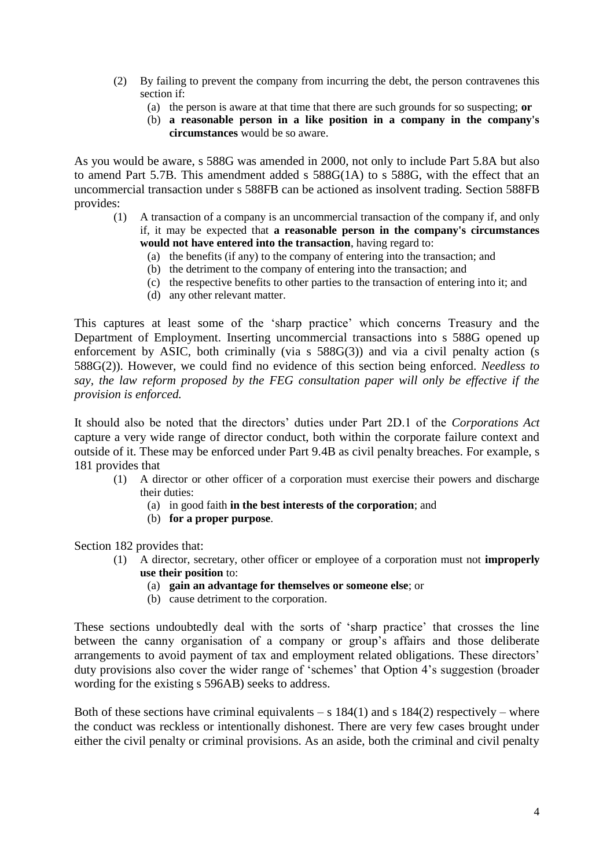- (2) By failing to prevent the company from incurring the debt, the person contravenes this section if:
	- (a) the person is aware at that time that there are such grounds for so suspecting; **or**
	- (b) **a reasonable person in a like position in a company in the company's circumstances** would be so aware.

As you would be aware, s 588G was amended in 2000, not only to include Part 5.8A but also to amend Part 5.7B. This amendment added s 588G(1A) to s 588G, with the effect that an uncommercial transaction under s 588FB can be actioned as insolvent trading. Section 588FB provides:

- (1) A transaction of a company is an uncommercial transaction of the company if, and only if, it may be expected that **a reasonable person in the company's circumstances would not have entered into the transaction**, having regard to:
	- (a) the benefits (if any) to the company of entering into the transaction; and
	- (b) the detriment to the company of entering into the transaction; and
	- (c) the respective benefits to other parties to the transaction of entering into it; and
	- (d) any other relevant matter.

This captures at least some of the 'sharp practice' which concerns Treasury and the Department of Employment. Inserting uncommercial transactions into s 588G opened up enforcement by ASIC, both criminally (via s 588G(3)) and via a civil penalty action (s 588G(2)). However, we could find no evidence of this section being enforced. *Needless to say, the law reform proposed by the FEG consultation paper will only be effective if the provision is enforced.*

It should also be noted that the directors' duties under Part 2D.1 of the *Corporations Act* capture a very wide range of director conduct, both within the corporate failure context and outside of it. These may be enforced under Part 9.4B as civil penalty breaches. For example, s 181 provides that

- (1) A director or other officer of a corporation must exercise their powers and discharge their duties:
	- (a) in good faith **in the best interests of the corporation**; and
	- (b) **for a proper purpose**.

Section 182 provides that:

- (1) A director, secretary, other officer or employee of a corporation must not **improperly use their position** to:
	- (a) **gain an advantage for themselves or someone else**; or
	- (b) cause detriment to the corporation.

These sections undoubtedly deal with the sorts of 'sharp practice' that crosses the line between the canny organisation of a company or group's affairs and those deliberate arrangements to avoid payment of tax and employment related obligations. These directors' duty provisions also cover the wider range of 'schemes' that Option 4's suggestion (broader wording for the existing s 596AB) seeks to address.

Both of these sections have criminal equivalents – s  $184(1)$  and s  $184(2)$  respectively – where the conduct was reckless or intentionally dishonest. There are very few cases brought under either the civil penalty or criminal provisions. As an aside, both the criminal and civil penalty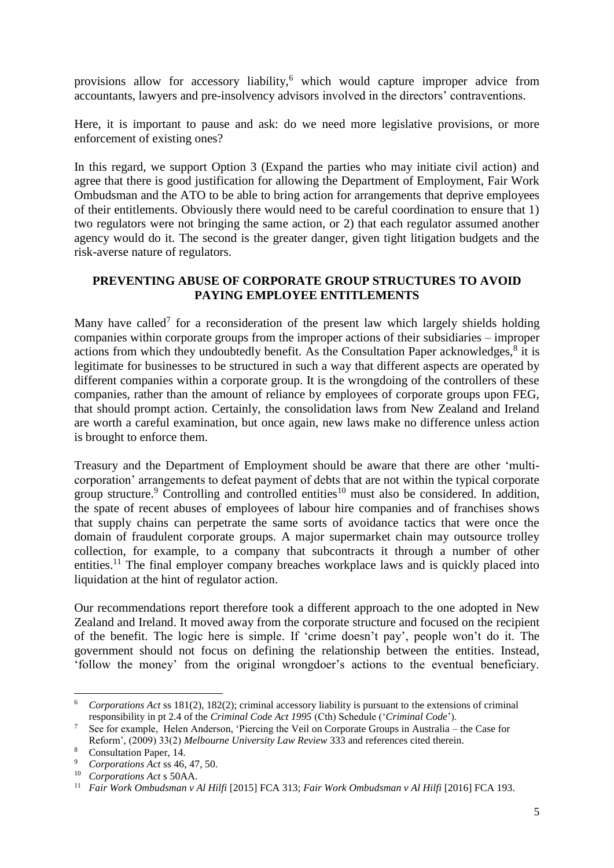provisions allow for accessory liability,<sup>6</sup> which would capture improper advice from accountants, lawyers and pre-insolvency advisors involved in the directors' contraventions.

Here, it is important to pause and ask: do we need more legislative provisions, or more enforcement of existing ones?

In this regard, we support Option 3 (Expand the parties who may initiate civil action) and agree that there is good justification for allowing the Department of Employment, Fair Work Ombudsman and the ATO to be able to bring action for arrangements that deprive employees of their entitlements. Obviously there would need to be careful coordination to ensure that 1) two regulators were not bringing the same action, or 2) that each regulator assumed another agency would do it. The second is the greater danger, given tight litigation budgets and the risk-averse nature of regulators.

### **PREVENTING ABUSE OF CORPORATE GROUP STRUCTURES TO AVOID PAYING EMPLOYEE ENTITLEMENTS**

Many have called<sup>7</sup> for a reconsideration of the present law which largely shields holding companies within corporate groups from the improper actions of their subsidiaries – improper actions from which they undoubtedly benefit. As the Consultation Paper acknowledges, $<sup>8</sup>$  it is</sup> legitimate for businesses to be structured in such a way that different aspects are operated by different companies within a corporate group. It is the wrongdoing of the controllers of these companies, rather than the amount of reliance by employees of corporate groups upon FEG, that should prompt action. Certainly, the consolidation laws from New Zealand and Ireland are worth a careful examination, but once again, new laws make no difference unless action is brought to enforce them.

Treasury and the Department of Employment should be aware that there are other 'multicorporation' arrangements to defeat payment of debts that are not within the typical corporate group structure.<sup>9</sup> Controlling and controlled entities<sup>10</sup> must also be considered. In addition, the spate of recent abuses of employees of labour hire companies and of franchises shows that supply chains can perpetrate the same sorts of avoidance tactics that were once the domain of fraudulent corporate groups. A major supermarket chain may outsource trolley collection, for example, to a company that subcontracts it through a number of other entities.<sup>11</sup> The final employer company breaches workplace laws and is quickly placed into liquidation at the hint of regulator action.

Our recommendations report therefore took a different approach to the one adopted in New Zealand and Ireland. It moved away from the corporate structure and focused on the recipient of the benefit. The logic here is simple. If 'crime doesn't pay', people won't do it. The government should not focus on defining the relationship between the entities. Instead, 'follow the money' from the original wrongdoer's actions to the eventual beneficiary.

1

<sup>6</sup> *Corporations Act* ss 181(2), 182(2); criminal accessory liability is pursuant to the extensions of criminal responsibility in pt 2.4 of the *Criminal Code Act 1995* (Cth) Schedule ('*Criminal Code*').

<sup>7</sup> See for example, Helen Anderson, 'Piercing the Veil on Corporate Groups in Australia – the Case for Reform', (2009) 33(2) *Melbourne University Law Review* 333 and references cited therein.

<sup>8</sup> Consultation Paper, 14.

<sup>9</sup> *Corporations Act* ss 46, 47, 50.

<sup>10</sup> *Corporations Act* s 50AA.

<sup>11</sup> *Fair Work Ombudsman v Al Hilfi* [2015] FCA 313; *Fair Work Ombudsman v Al Hilfi* [2016] FCA 193.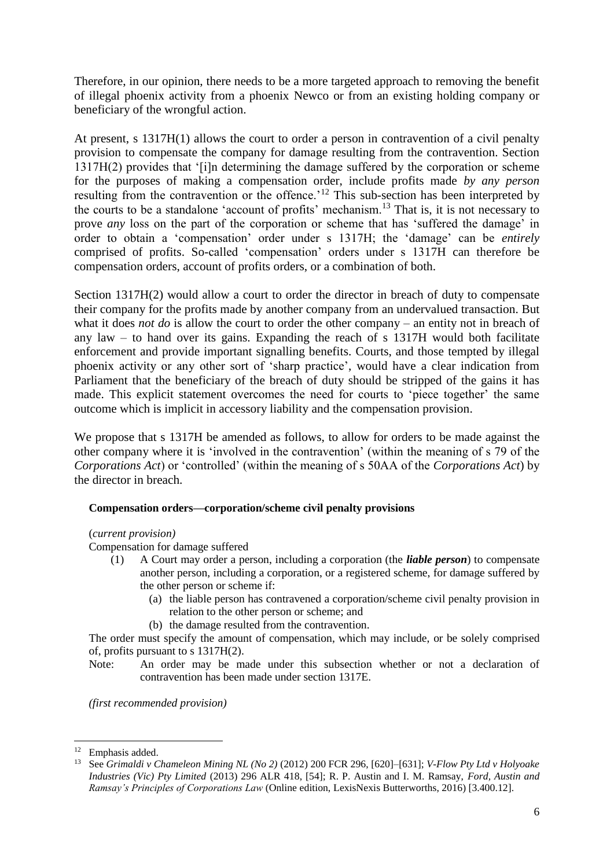Therefore, in our opinion, there needs to be a more targeted approach to removing the benefit of illegal phoenix activity from a phoenix Newco or from an existing holding company or beneficiary of the wrongful action.

At present, s 1317H(1) allows the court to order a person in contravention of a civil penalty provision to compensate the company for damage resulting from the contravention. Section 1317H(2) provides that '[i]n determining the damage suffered by the corporation or scheme for the purposes of making a compensation order, include profits made *by any person*  resulting from the contravention or the offence.<sup>'12</sup> This sub-section has been interpreted by the courts to be a standalone 'account of profits' mechanism.<sup>13</sup> That is, it is not necessary to prove *any* loss on the part of the corporation or scheme that has 'suffered the damage' in order to obtain a 'compensation' order under s 1317H; the 'damage' can be *entirely* comprised of profits. So-called 'compensation' orders under s 1317H can therefore be compensation orders, account of profits orders, or a combination of both.

Section 1317H(2) would allow a court to order the director in breach of duty to compensate their company for the profits made by another company from an undervalued transaction. But what it does *not do* is allow the court to order the other company – an entity not in breach of any law – to hand over its gains. Expanding the reach of s 1317H would both facilitate enforcement and provide important signalling benefits. Courts, and those tempted by illegal phoenix activity or any other sort of 'sharp practice', would have a clear indication from Parliament that the beneficiary of the breach of duty should be stripped of the gains it has made. This explicit statement overcomes the need for courts to 'piece together' the same outcome which is implicit in accessory liability and the compensation provision.

We propose that s 1317H be amended as follows, to allow for orders to be made against the other company where it is 'involved in the contravention' (within the meaning of s 79 of the *Corporations Act*) or 'controlled' (within the meaning of s 50AA of the *Corporations Act*) by the director in breach.

#### **Compensation orders—corporation/scheme civil penalty provisions**

#### (*current provision)*

Compensation for damage suffered

- (1) A Court may order a person, including a corporation (the *liable person*) to compensate another person, including a corporation, or a registered scheme, for damage suffered by the other person or scheme if:
	- (a) the liable person has contravened a corporation/scheme civil penalty provision in relation to the other person or scheme; and
	- (b) the damage resulted from the contravention.

The order must specify the amount of compensation, which may include, or be solely comprised of, profits pursuant to s 1317H(2).

Note: An order may be made under this subsection whether or not a declaration of contravention has been made under section 1317E.

*(first recommended provision)*

**.** 

<sup>&</sup>lt;sup>12</sup> Emphasis added.

<sup>13</sup> See *Grimaldi v Chameleon Mining NL (No 2)* (2012) 200 FCR 296, [620]–[631]; *V-Flow Pty Ltd v Holyoake Industries (Vic) Pty Limited* (2013) 296 ALR 418, [54]; R. P. Austin and I. M. Ramsay, *Ford, Austin and Ramsay's Principles of Corporations Law* (Online edition, LexisNexis Butterworths, 2016) [3.400.12].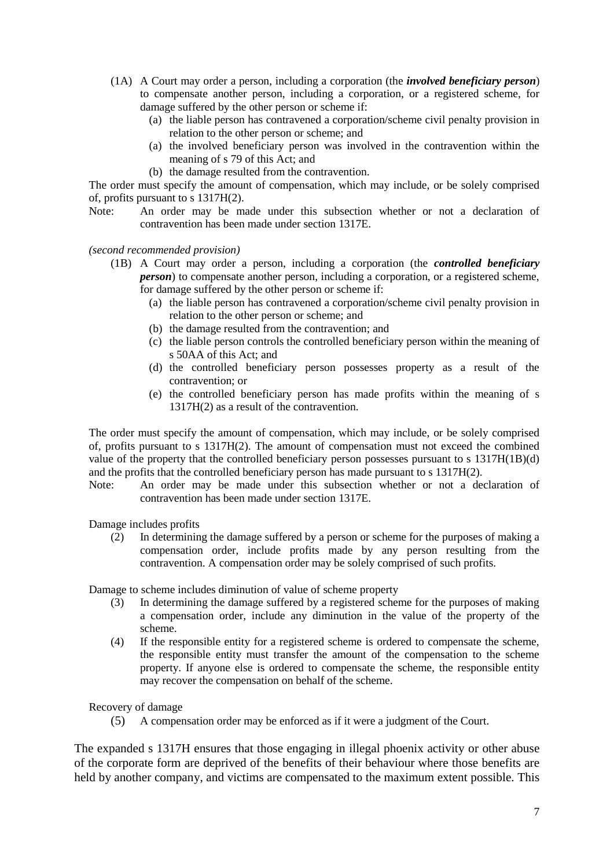- (1A) A Court may order a person, including a corporation (the *involved beneficiary person*) to compensate another person, including a corporation, or a registered scheme, for damage suffered by the other person or scheme if:
	- (a) the liable person has contravened a corporation/scheme civil penalty provision in relation to the other person or scheme; and
	- (a) the involved beneficiary person was involved in the contravention within the meaning of s 79 of this Act; and
	- (b) the damage resulted from the contravention.

The order must specify the amount of compensation, which may include, or be solely comprised of, profits pursuant to s 1317H(2).

Note: An order may be made under this subsection whether or not a declaration of contravention has been made under section 1317E.

*(second recommended provision)*

- (1B) A Court may order a person, including a corporation (the *controlled beneficiary person*) to compensate another person, including a corporation, or a registered scheme, for damage suffered by the other person or scheme if:
	- (a) the liable person has contravened a corporation/scheme civil penalty provision in relation to the other person or scheme; and
	- (b) the damage resulted from the contravention; and
	- (c) the liable person controls the controlled beneficiary person within the meaning of s 50AA of this Act; and
	- (d) the controlled beneficiary person possesses property as a result of the contravention; or
	- (e) the controlled beneficiary person has made profits within the meaning of s 1317H(2) as a result of the contravention.

The order must specify the amount of compensation, which may include, or be solely comprised of, profits pursuant to s 1317H(2). The amount of compensation must not exceed the combined value of the property that the controlled beneficiary person possesses pursuant to s 1317H(1B)(d) and the profits that the controlled beneficiary person has made pursuant to s 1317H(2).

Note: An order may be made under this subsection whether or not a declaration of contravention has been made under section 1317E.

Damage includes profits

(2) In determining the damage suffered by a person or scheme for the purposes of making a compensation order, include profits made by any person resulting from the contravention. A compensation order may be solely comprised of such profits.

Damage to scheme includes diminution of value of scheme property

- (3) In determining the damage suffered by a registered scheme for the purposes of making a compensation order, include any diminution in the value of the property of the scheme.
- (4) If the responsible entity for a registered scheme is ordered to compensate the scheme, the responsible entity must transfer the amount of the compensation to the scheme property. If anyone else is ordered to compensate the scheme, the responsible entity may recover the compensation on behalf of the scheme.

Recovery of damage

(5) A compensation order may be enforced as if it were a judgment of the Court.

The expanded s 1317H ensures that those engaging in illegal phoenix activity or other abuse of the corporate form are deprived of the benefits of their behaviour where those benefits are held by another company, and victims are compensated to the maximum extent possible. This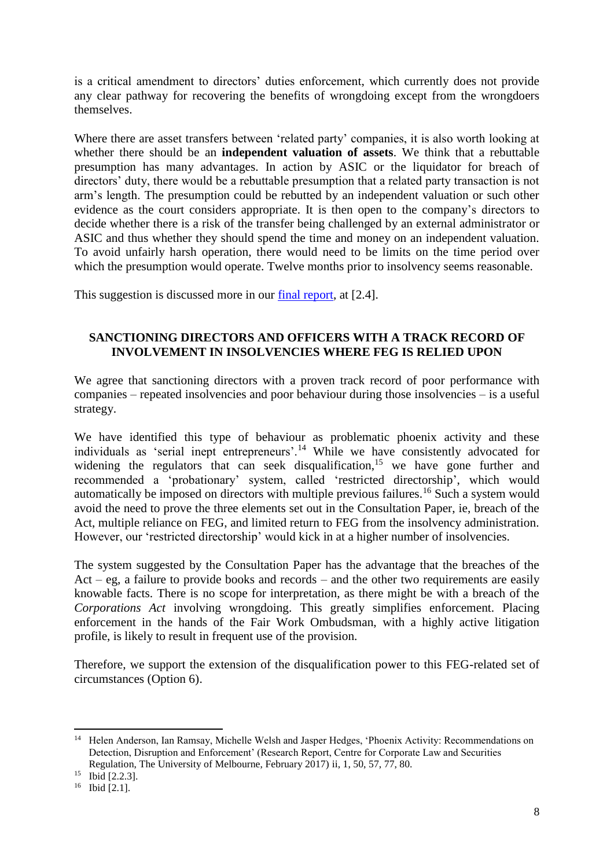is a critical amendment to directors' duties enforcement, which currently does not provide any clear pathway for recovering the benefits of wrongdoing except from the wrongdoers themselves.

Where there are asset transfers between 'related party' companies, it is also worth looking at whether there should be an **independent valuation of assets**. We think that a rebuttable presumption has many advantages. In action by ASIC or the liquidator for breach of directors' duty, there would be a rebuttable presumption that a related party transaction is not arm's length. The presumption could be rebutted by an independent valuation or such other evidence as the court considers appropriate. It is then open to the company's directors to decide whether there is a risk of the transfer being challenged by an external administrator or ASIC and thus whether they should spend the time and money on an independent valuation. To avoid unfairly harsh operation, there would need to be limits on the time period over which the presumption would operate. Twelve months prior to insolvency seems reasonable.

This suggestion is discussed more in our [final report,](http://law.unimelb.edu.au/__data/assets/pdf_file/0020/2274131/Phoenix-Activity-Recommendations-on-Detection-Disruption-and-Enforcement.pdf) at [2.4].

# **SANCTIONING DIRECTORS AND OFFICERS WITH A TRACK RECORD OF INVOLVEMENT IN INSOLVENCIES WHERE FEG IS RELIED UPON**

We agree that sanctioning directors with a proven track record of poor performance with companies – repeated insolvencies and poor behaviour during those insolvencies – is a useful strategy.

We have identified this type of behaviour as problematic phoenix activity and these individuals as 'serial inept entrepreneurs'.<sup>14</sup> While we have consistently advocated for widening the regulators that can seek disqualification,<sup>15</sup> we have gone further and recommended a 'probationary' system, called 'restricted directorship', which would automatically be imposed on directors with multiple previous failures.<sup>16</sup> Such a system would avoid the need to prove the three elements set out in the Consultation Paper, ie, breach of the Act, multiple reliance on FEG, and limited return to FEG from the insolvency administration. However, our 'restricted directorship' would kick in at a higher number of insolvencies.

The system suggested by the Consultation Paper has the advantage that the breaches of the Act – eg, a failure to provide books and records – and the other two requirements are easily knowable facts. There is no scope for interpretation, as there might be with a breach of the *Corporations Act* involving wrongdoing. This greatly simplifies enforcement. Placing enforcement in the hands of the Fair Work Ombudsman, with a highly active litigation profile, is likely to result in frequent use of the provision.

Therefore, we support the extension of the disqualification power to this FEG-related set of circumstances (Option 6).

<sup>1</sup> <sup>14</sup> Helen Anderson, Ian Ramsay, Michelle Welsh and Jasper Hedges, 'Phoenix Activity: Recommendations on Detection, Disruption and Enforcement' (Research Report, Centre for Corporate Law and Securities Regulation, The University of Melbourne, February 2017) ii, 1, 50, 57, 77, 80.

<sup>&</sup>lt;sup>15</sup> Ibid [2.2.3].

<sup>16</sup> Ibid [2.1].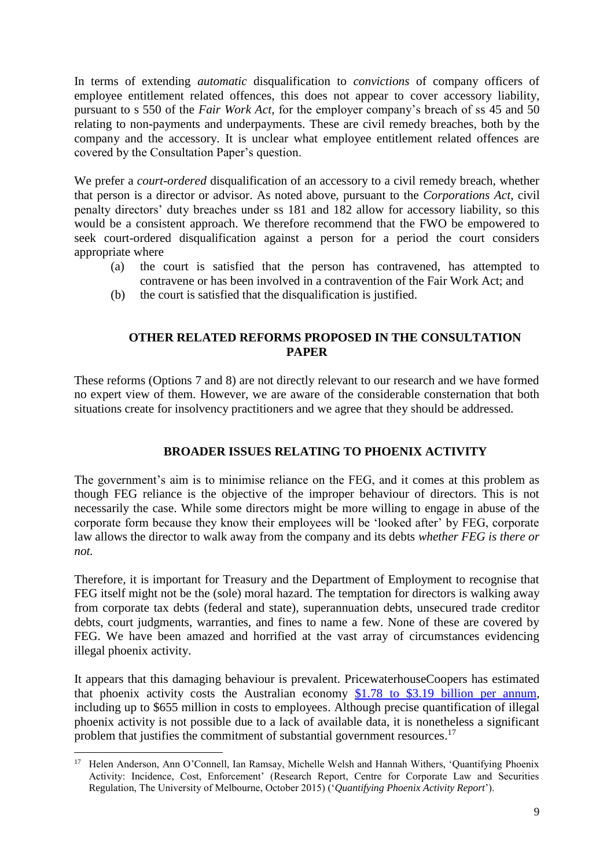In terms of extending *automatic* disqualification to *convictions* of company officers of employee entitlement related offences, this does not appear to cover accessory liability, pursuant to s 550 of the *Fair Work Act*, for the employer company's breach of ss 45 and 50 relating to non-payments and underpayments. These are civil remedy breaches, both by the company and the accessory. It is unclear what employee entitlement related offences are covered by the Consultation Paper's question.

We prefer a *court-ordered* disqualification of an accessory to a civil remedy breach, whether that person is a director or advisor. As noted above, pursuant to the *Corporations Act*, civil penalty directors' duty breaches under ss 181 and 182 allow for accessory liability, so this would be a consistent approach. We therefore recommend that the FWO be empowered to seek court-ordered disqualification against a person for a period the court considers appropriate where

- (a) the court is satisfied that the person has contravened, has attempted to contravene or has been involved in a contravention of the Fair Work Act; and
- (b) the court is satisfied that the disqualification is justified.

## **OTHER RELATED REFORMS PROPOSED IN THE CONSULTATION PAPER**

These reforms (Options 7 and 8) are not directly relevant to our research and we have formed no expert view of them. However, we are aware of the considerable consternation that both situations create for insolvency practitioners and we agree that they should be addressed.

#### **BROADER ISSUES RELATING TO PHOENIX ACTIVITY**

The government's aim is to minimise reliance on the FEG, and it comes at this problem as though FEG reliance is the objective of the improper behaviour of directors. This is not necessarily the case. While some directors might be more willing to engage in abuse of the corporate form because they know their employees will be 'looked after' by FEG, corporate law allows the director to walk away from the company and its debts *whether FEG is there or not.*

Therefore, it is important for Treasury and the Department of Employment to recognise that FEG itself might not be the (sole) moral hazard. The temptation for directors is walking away from corporate tax debts (federal and state), superannuation debts, unsecured trade creditor debts, court judgments, warranties, and fines to name a few. None of these are covered by FEG. We have been amazed and horrified at the vast array of circumstances evidencing illegal phoenix activity.

It appears that this damaging behaviour is prevalent. PricewaterhouseCoopers has estimated that phoenix activity costs the Australian economy [\\$1.78 to \\$3.19 billion per annum,](file:///C:/Users/jlhedges/Downloads/Phoenix-activity-report-sizing-the-problem-and-matching-solutions%20(7).pdf) including up to \$655 million in costs to employees. Although precise quantification of illegal phoenix activity is not possible due to a lack of available data, it is nonetheless a significant problem that justifies the commitment of substantial government resources.<sup>17</sup>

 $\overline{\phantom{a}}$ <sup>17</sup> Helen Anderson, Ann O'Connell, Ian Ramsay, Michelle Welsh and Hannah Withers, 'Quantifying Phoenix Activity: Incidence, Cost, Enforcement' (Research Report, Centre for Corporate Law and Securities Regulation, The University of Melbourne, October 2015) ('*Quantifying Phoenix Activity Report*').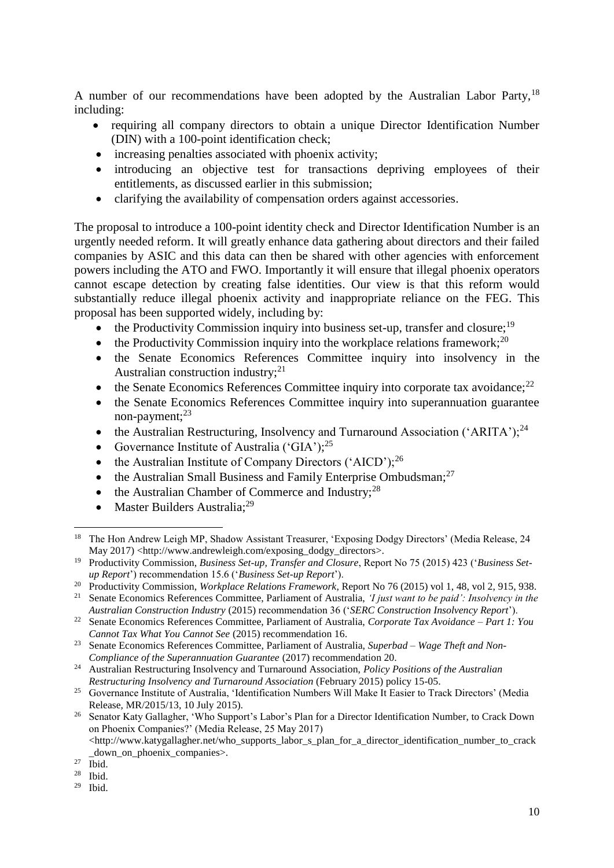A number of our recommendations have been adopted by the Australian Labor Party,<sup>18</sup> including:

- requiring all company directors to obtain a unique Director Identification Number (DIN) with a 100-point identification check;
- increasing penalties associated with phoenix activity;
- introducing an objective test for transactions depriving employees of their entitlements, as discussed earlier in this submission;
- clarifying the availability of compensation orders against accessories.

The proposal to introduce a 100-point identity check and Director Identification Number is an urgently needed reform. It will greatly enhance data gathering about directors and their failed companies by ASIC and this data can then be shared with other agencies with enforcement powers including the ATO and FWO. Importantly it will ensure that illegal phoenix operators cannot escape detection by creating false identities. Our view is that this reform would substantially reduce illegal phoenix activity and inappropriate reliance on the FEG. This proposal has been supported widely, including by:

- the Productivity Commission inquiry into business set-up, transfer and closure:<sup>19</sup>
- the Productivity Commission inquiry into the workplace relations framework;<sup>20</sup>
- the Senate Economics References Committee inquiry into insolvency in the Australian construction industry; $^{21}$
- $\bullet$  the Senate Economics References Committee inquiry into corporate tax avoidance;  $^{22}$
- the Senate Economics References Committee inquiry into superannuation guarantee non-payment; $^{23}$
- the Australian Restructuring, Insolvency and Turnaround Association ('ARITA');<sup>24</sup>
- Governance Institute of Australia ('GIA');<sup>25</sup>
- the Australian Institute of Company Directors ('AICD');<sup>26</sup>
- the Australian Small Business and Family Enterprise Ombudsman;<sup>27</sup>
- the Australian Chamber of Commerce and Industry;<sup>28</sup>
- Master Builders Australia: $^{29}$

**.** 

<sup>&</sup>lt;sup>18</sup> The Hon Andrew Leigh MP, Shadow Assistant Treasurer, 'Exposing Dodgy Directors' (Media Release, 24 May 2017) [<http://www.andrewleigh.com/exposing\\_dodgy\\_directors>](http://www.andrewleigh.com/exposing_dodgy_directors).

<sup>19</sup> Productivity Commission, *Business Set-up, Transfer and Closure*, Report No 75 (2015) 423 ('*Business Setup Report*') recommendation 15.6 ('*Business Set-up Report*').

<sup>20</sup> Productivity Commission, *Workplace Relations Framework*, Report No 76 (2015) vol 1, 48, vol 2, 915, 938.

<sup>21</sup> Senate Economics References Committee, Parliament of Australia, *'I just want to be paid': Insolvency in the Australian Construction Industry* (2015) recommendation 36 ('*SERC Construction Insolvency Report*').

<sup>22</sup> Senate Economics References Committee, Parliament of Australia, *Corporate Tax Avoidance – Part 1: You Cannot Tax What You Cannot See* (2015) recommendation 16.

<sup>23</sup> Senate Economics References Committee, Parliament of Australia, *Superbad – Wage Theft and Non-Compliance of the Superannuation Guarantee* (2017) recommendation 20.

<sup>24</sup> Australian Restructuring Insolvency and Turnaround Association, *Policy Positions of the Australian Restructuring Insolvency and Turnaround Association* (February 2015) policy 15-05.

<sup>&</sup>lt;sup>25</sup> Governance Institute of Australia, 'Identification Numbers Will Make It Easier to Track Directors' (Media Release, MR/2015/13, 10 July 2015).

<sup>&</sup>lt;sup>26</sup> Senator Katy Gallagher, 'Who Support's Labor's Plan for a Director Identification Number, to Crack Down on Phoenix Companies?' (Media Release, 25 May 2017)  $\lt$ http://www.katygallagher.net/who\_supports\_labor\_s\_plan\_for\_a\_director\_identification\_number\_to\_crack

down on phoenix companies.

 $27$  Ibid.

<sup>28</sup> Ibid.

 $29$  Ibid.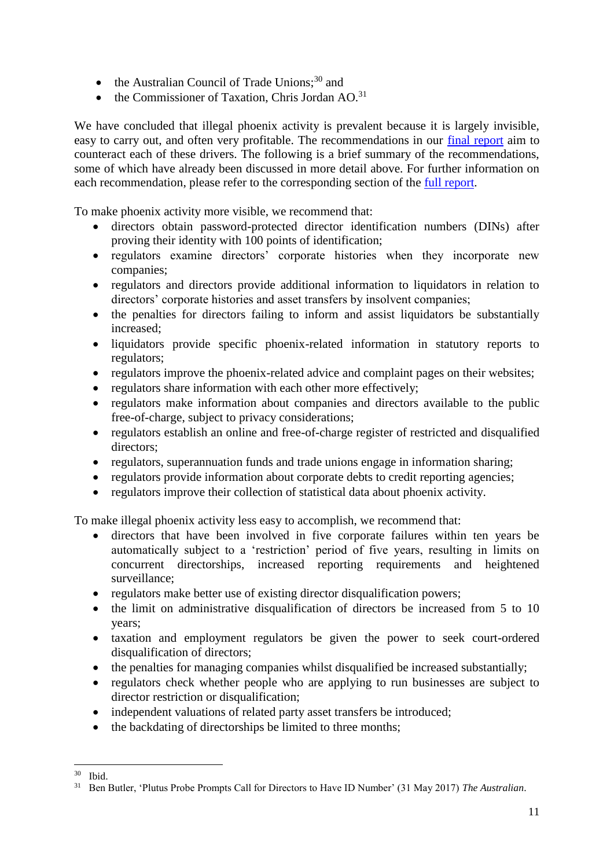- $\bullet$  the Australian Council of Trade Unions;<sup>30</sup> and
- $\bullet$  the Commissioner of Taxation, Chris Jordan AO.<sup>31</sup>

We have concluded that illegal phoenix activity is prevalent because it is largely invisible, easy to carry out, and often very profitable. The recommendations in our [final report](http://law.unimelb.edu.au/__data/assets/pdf_file/0020/2274131/Phoenix-Activity-Recommendations-on-Detection-Disruption-and-Enforcement.pdf) aim to counteract each of these drivers. The following is a brief summary of the recommendations, some of which have already been discussed in more detail above. For further information on each recommendation, please refer to the corresponding section of the *full report*.

To make phoenix activity more visible, we recommend that:

- directors obtain password-protected director identification numbers (DINs) after proving their identity with 100 points of identification;
- regulators examine directors' corporate histories when they incorporate new companies;
- regulators and directors provide additional information to liquidators in relation to directors' corporate histories and asset transfers by insolvent companies;
- the penalties for directors failing to inform and assist liquidators be substantially increased;
- liquidators provide specific phoenix-related information in statutory reports to regulators;
- regulators improve the phoenix-related advice and complaint pages on their websites;
- regulators share information with each other more effectively;
- regulators make information about companies and directors available to the public free-of-charge, subject to privacy considerations;
- regulators establish an online and free-of-charge register of restricted and disqualified directors;
- regulators, superannuation funds and trade unions engage in information sharing;
- regulators provide information about corporate debts to credit reporting agencies;
- regulators improve their collection of statistical data about phoenix activity.

To make illegal phoenix activity less easy to accomplish, we recommend that:

- directors that have been involved in five corporate failures within ten years be automatically subject to a 'restriction' period of five years, resulting in limits on concurrent directorships, increased reporting requirements and heightened surveillance;
- regulators make better use of existing director disqualification powers;
- the limit on administrative disqualification of directors be increased from 5 to 10 years;
- taxation and employment regulators be given the power to seek court-ordered disqualification of directors;
- the penalties for managing companies whilst disqualified be increased substantially;
- regulators check whether people who are applying to run businesses are subject to director restriction or disqualification;
- independent valuations of related party asset transfers be introduced;
- the backdating of directorships be limited to three months;

<sup>1</sup> <sup>30</sup> Ibid.

<sup>31</sup> Ben Butler, 'Plutus Probe Prompts Call for Directors to Have ID Number' (31 May 2017) *The Australian*.